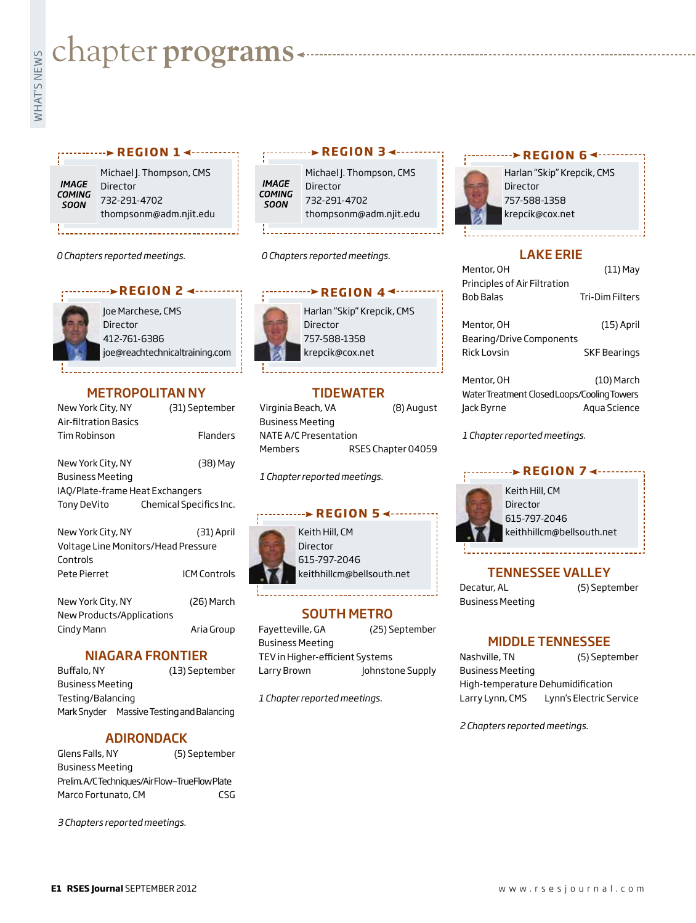# **whater programs**<br>Example:<br>Fig. 1

### r <sup>...........</sup> > REGION 1 <--------

**IMAGE COMING** SOON

Michael J. Thompson, CMS Director 732-291-4702 thompsonm@adm.njit.edu

*0 Chapters reported meetings.*



Joe Marchese, CMS **Director** 412-761-6386 joe@reachtechnicaltraining.com

# METROPOLITAN NY

| New York City, NY<br>Air-filtration Basics | (31) September          |  |
|--------------------------------------------|-------------------------|--|
| Tim Robinson                               | Flanders                |  |
| New York City, NY                          | (38) May                |  |
| Business Meeting                           |                         |  |
| IAO/Plate-frame Heat Exchangers            |                         |  |
| Tony DeVito                                | Chemical Specifics Inc. |  |
| New York City, NY                          | (31) April              |  |
| Voltage Line Monitors/Head Pressure        |                         |  |
| Controls                                   |                         |  |
| Pete Pierret                               | ICM Controls            |  |
| New York City, NY                          | (26) March              |  |
| وموطئوه المورال ويعور باوجب المعاربية      |                         |  |

New Products/Applications Cindy Mann **Aria Group** 

## NIAGARA FRONTIER

Buffalo, NY (13) September Business Meeting Testing/Balancing Mark Snyder Massive Testing and Balancing

# ADIRONDACK

Glens Falls, NY (5) September Business Meeting Prelim. A/C Techniques/Air Flow—TrueFlow Plate Marco Fortunato, CM CSG

*3 Chapters reported meetings.*

# **r e g i o n 3**

Michael J. Thompson, CMS **IMAGE** Director **COMING** 732-291-4702 **SOON** thompsonm@adm.njit.edu

*0 Chapters reported meetings.*



Harlan "Skip" Krepcik, CMS **Director** 757-588-1358 krepcik@cox.net

# TIDEWATER

Virginia Beach, VA (8) August Business Meeting NATE A/C Presentation Members RSES Chapter 04059

*1 Chapter reported meetings.*

#### **REGION 5 <**



Keith Hill, CM Director 615-797-2046 keithhillcm@bellsouth.net

# SOUTH METRO

Fayetteville, GA (25) September Business Meeting TEV in Higher-efficient Systems Larry Brown Johnstone Supply

*1 Chapter reported meetings.*

### **REGION 64 ---------**



Harlan "Skip" Krepcik, CMS Director 757-588-1358 krepcik@cox.net

#### LAKE ERIE

| Mentor, OH                                | $(11)$ May             |
|-------------------------------------------|------------------------|
| Principles of Air Filtration<br>Bob Balas | <b>Tri-Dim Filters</b> |
| Mentor, OH<br>Bearing/Drive Components    | $(15)$ April           |
| Rick Lovsin                               | <b>SKF Bearings</b>    |
| Mentor, OH                                | $(10)$ March           |

Water Treatment Closed Loops/Cooling Towers Jack Byrne Aqua Science

*1 Chapter reported meetings.*

# **REGION 7 <--------**



Keith Hill, CM Director 615-797-2046 keithhillcm@bellsouth.net

# TENNESSEE VALLEY

Decatur, AL (5) September Business Meeting

# MIDDLE TENNESSEE

Nashville, TN (5) September Business Meeting

High-temperature Dehumidification Larry Lynn, CMS Lynn's Electric Service

*2 Chapters reported meetings.*